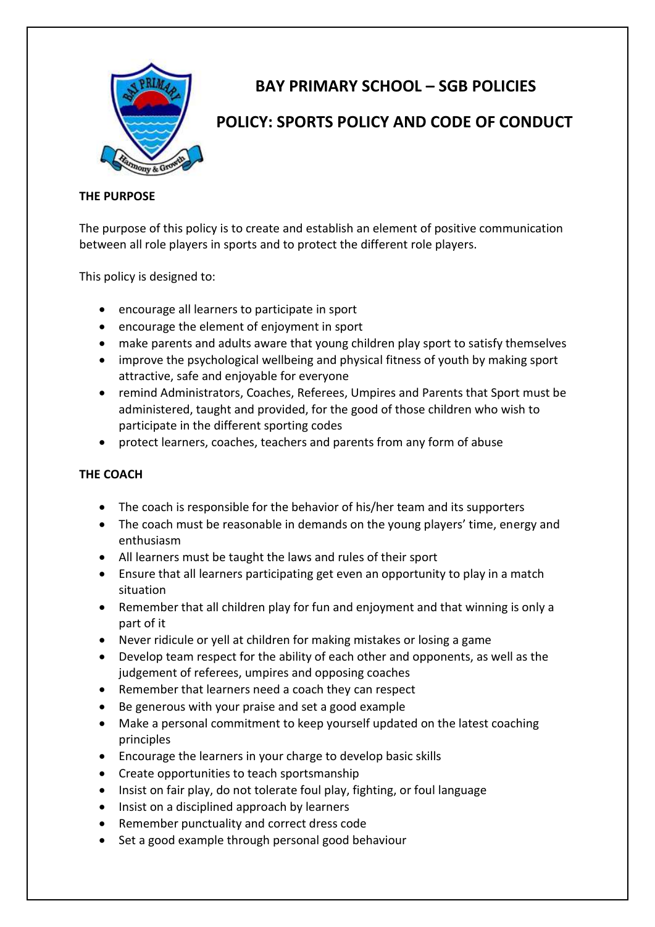

# **BAY PRIMARY SCHOOL – SGB POLICIES**

# **POLICY: SPORTS POLICY AND CODE OF CONDUCT**

# **THE PURPOSE**

The purpose of this policy is to create and establish an element of positive communication between all role players in sports and to protect the different role players.

This policy is designed to:

- encourage all learners to participate in sport
- encourage the element of enjoyment in sport
- make parents and adults aware that young children play sport to satisfy themselves
- improve the psychological wellbeing and physical fitness of youth by making sport attractive, safe and enjoyable for everyone
- remind Administrators, Coaches, Referees, Umpires and Parents that Sport must be administered, taught and provided, for the good of those children who wish to participate in the different sporting codes
- protect learners, coaches, teachers and parents from any form of abuse

# **THE COACH**

- The coach is responsible for the behavior of his/her team and its supporters
- The coach must be reasonable in demands on the young players' time, energy and enthusiasm
- All learners must be taught the laws and rules of their sport
- Ensure that all learners participating get even an opportunity to play in a match situation
- Remember that all children play for fun and enjoyment and that winning is only a part of it
- Never ridicule or yell at children for making mistakes or losing a game
- Develop team respect for the ability of each other and opponents, as well as the judgement of referees, umpires and opposing coaches
- Remember that learners need a coach they can respect
- Be generous with your praise and set a good example
- Make a personal commitment to keep yourself updated on the latest coaching principles
- Encourage the learners in your charge to develop basic skills
- Create opportunities to teach sportsmanship
- Insist on fair play, do not tolerate foul play, fighting, or foul language
- Insist on a disciplined approach by learners
- Remember punctuality and correct dress code
- Set a good example through personal good behaviour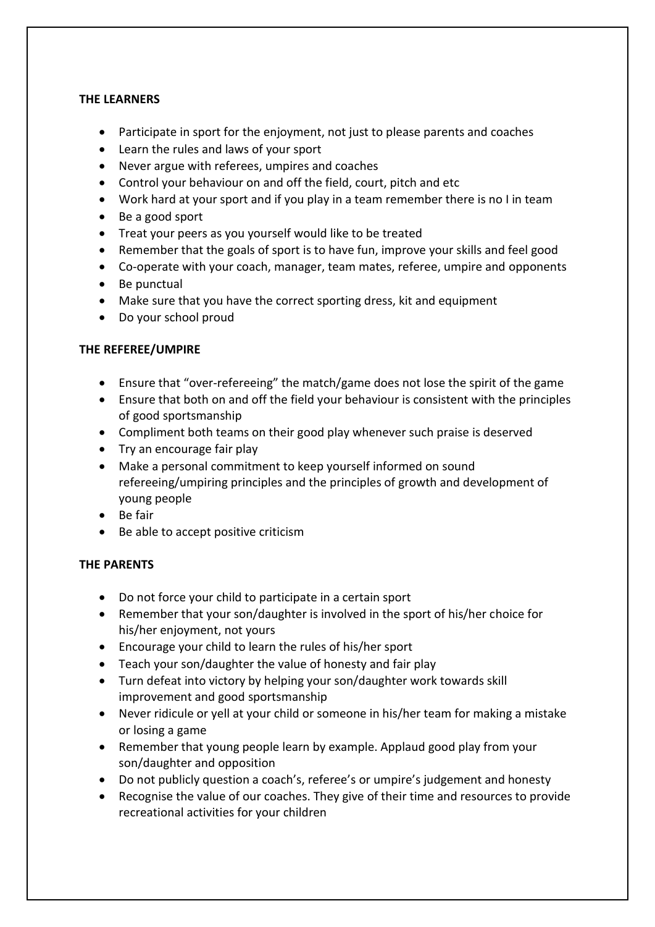#### **THE LEARNERS**

- Participate in sport for the enjoyment, not just to please parents and coaches
- Learn the rules and laws of your sport
- Never argue with referees, umpires and coaches
- Control your behaviour on and off the field, court, pitch and etc
- Work hard at your sport and if you play in a team remember there is no I in team
- Be a good sport
- Treat your peers as you yourself would like to be treated
- Remember that the goals of sport is to have fun, improve your skills and feel good
- Co-operate with your coach, manager, team mates, referee, umpire and opponents
- Be punctual
- Make sure that you have the correct sporting dress, kit and equipment
- Do your school proud

#### **THE REFEREE/UMPIRE**

- Ensure that "over-refereeing" the match/game does not lose the spirit of the game
- Ensure that both on and off the field your behaviour is consistent with the principles of good sportsmanship
- Compliment both teams on their good play whenever such praise is deserved
- Try an encourage fair play
- Make a personal commitment to keep yourself informed on sound refereeing/umpiring principles and the principles of growth and development of young people
- Be fair
- Be able to accept positive criticism

# **THE PARENTS**

- Do not force your child to participate in a certain sport
- Remember that your son/daughter is involved in the sport of his/her choice for his/her enjoyment, not yours
- Encourage your child to learn the rules of his/her sport
- Teach your son/daughter the value of honesty and fair play
- Turn defeat into victory by helping your son/daughter work towards skill improvement and good sportsmanship
- Never ridicule or yell at your child or someone in his/her team for making a mistake or losing a game
- Remember that young people learn by example. Applaud good play from your son/daughter and opposition
- Do not publicly question a coach's, referee's or umpire's judgement and honesty
- Recognise the value of our coaches. They give of their time and resources to provide recreational activities for your children